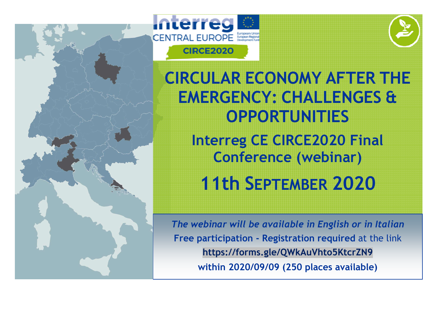





CIRCULAR ECONOMY AFTER THE EMERGENCY: CHALLENGES & OPPORTUNITIES Interreg CE CIRCE2020 Final Conference (webinar) 11th SEPTEMBER 2020

The webinar will be available in English or in Italian Free participation - Registration required at the link https://forms.gle/QWkAuVhto5KtcrZN9within 2020/09/09 (250 places available)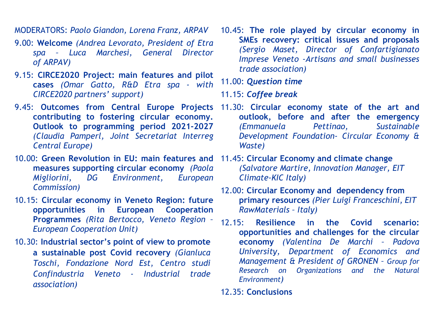MODERATORS: Paolo Giandon, Lorena Franz, ARPAV

- 9.00: Welcome (Andrea Levorato, President of Etra spa – Luca Marchesi, General Director of ARPAV)
- 9.15: CIRCE2020 Project: main features and pilot cases (Omar Gatto, R&D Etra spa - with CIRCE2020 partners' support)
- contributing to fostering circular economy. Outlook to programming period 2021-2027 (Claudia Pamperl, Joint Secretariat Interreg Central Europe)
- 10.00: Green Revolution in EU: main features and measures supporting circular economy (Paola Migliorini, DG Environment, European Commission)
- 10.15: Circular economy in Veneto Region: future opportunities in European Cooperation Programmes (Rita Bertocco, Veneto Region – European Cooperation Unit)
- 10.30: Industrial sector's point of view to promote a sustainable post Covid recovery (Gianluca Toschi, Fondazione Nord Est, Centro studi Confindustria Veneto - Industrial trade association)
- 10.45: The role played by circular economy in SMEs recovery: critical issues and proposals (Sergio Maset, Director of Confartigianato Imprese Veneto -Artisans and small businesses trade association)
- 11.00: Question time
- 11.15: Coffee break
- 9.45: Outcomes from Central Europe Projects 11.30: Circular economy state of the art and outlook, before and after the emergency Sustainable (Emmanuela Pettinao, Development Foundation- Circular Economy & Waste)
	- 11.45: Circular Economy and climate change (Salvatore Martire, Innovation Manager, EIT Climate-KIC Italy)
	- 12.00: Circular Economy and dependency from primary resources (Pier Luigi Franceschini, EIT RawMaterials – Italy)
	- 12.15: Resilience in the Covid scenario: opportunities and challenges for the circular economy (Valentina De Marchi – Padova University, Department of Economics and Management & President of GRONEN – Group for Research on Organizations and the Natural Environment)
	- 12.35: Conclusions